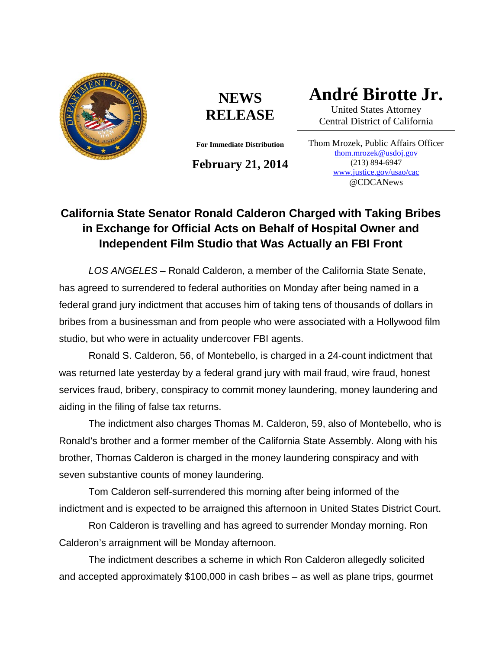

## **NEWS RELEASE**

**For Immediate Distribution**

**February 21, 2014**

**André Birotte Jr.**

United States Attorney Central District of California

Thom Mrozek, Public Affairs Officer [thom.mrozek@usdoj.gov](mailto:thom.mrozek@usdoj.gov) (213) 894-6947 [www.justice.gov/usao/cac](http://www.justice.gov/usao/cac) @CDCANews

## **California State Senator Ronald Calderon Charged with Taking Bribes in Exchange for Official Acts on Behalf of Hospital Owner and Independent Film Studio that Was Actually an FBI Front**

*LOS ANGELES* – Ronald Calderon, a member of the California State Senate, has agreed to surrendered to federal authorities on Monday after being named in a federal grand jury indictment that accuses him of taking tens of thousands of dollars in bribes from a businessman and from people who were associated with a Hollywood film studio, but who were in actuality undercover FBI agents.

Ronald S. Calderon, 56, of Montebello, is charged in a 24-count indictment that was returned late yesterday by a federal grand jury with mail fraud, wire fraud, honest services fraud, bribery, conspiracy to commit money laundering, money laundering and aiding in the filing of false tax returns.

The indictment also charges Thomas M. Calderon, 59, also of Montebello, who is Ronald's brother and a former member of the California State Assembly. Along with his brother, Thomas Calderon is charged in the money laundering conspiracy and with seven substantive counts of money laundering.

Tom Calderon self-surrendered this morning after being informed of the indictment and is expected to be arraigned this afternoon in United States District Court.

Ron Calderon is travelling and has agreed to surrender Monday morning. Ron Calderon's arraignment will be Monday afternoon.

The indictment describes a scheme in which Ron Calderon allegedly solicited and accepted approximately \$100,000 in cash bribes – as well as plane trips, gourmet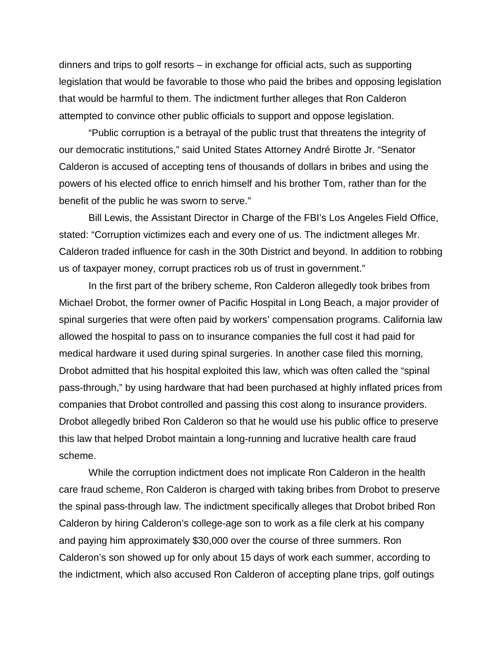dinners and trips to golf resorts – in exchange for official acts, such as supporting legislation that would be favorable to those who paid the bribes and opposing legislation that would be harmful to them. The indictment further alleges that Ron Calderon attempted to convince other public officials to support and oppose legislation.

"Public corruption is a betrayal of the public trust that threatens the integrity of our democratic institutions," said United States Attorney André Birotte Jr. "Senator Calderon is accused of accepting tens of thousands of dollars in bribes and using the powers of his elected office to enrich himself and his brother Tom, rather than for the benefit of the public he was sworn to serve."

Bill Lewis, the Assistant Director in Charge of the FBI's Los Angeles Field Office, stated: "Corruption victimizes each and every one of us. The indictment alleges Mr. Calderon traded influence for cash in the 30th District and beyond. In addition to robbing us of taxpayer money, corrupt practices rob us of trust in government."

In the first part of the bribery scheme, Ron Calderon allegedly took bribes from Michael Drobot, the former owner of Pacific Hospital in Long Beach, a major provider of spinal surgeries that were often paid by workers' compensation programs. California law allowed the hospital to pass on to insurance companies the full cost it had paid for medical hardware it used during spinal surgeries. In another case filed this morning, Drobot admitted that his hospital exploited this law, which was often called the "spinal pass-through," by using hardware that had been purchased at highly inflated prices from companies that Drobot controlled and passing this cost along to insurance providers. Drobot allegedly bribed Ron Calderon so that he would use his public office to preserve this law that helped Drobot maintain a long-running and lucrative health care fraud scheme.

While the corruption indictment does not implicate Ron Calderon in the health care fraud scheme, Ron Calderon is charged with taking bribes from Drobot to preserve the spinal pass-through law. The indictment specifically alleges that Drobot bribed Ron Calderon by hiring Calderon's college-age son to work as a file clerk at his company and paying him approximately \$30,000 over the course of three summers. Ron Calderon's son showed up for only about 15 days of work each summer, according to the indictment, which also accused Ron Calderon of accepting plane trips, golf outings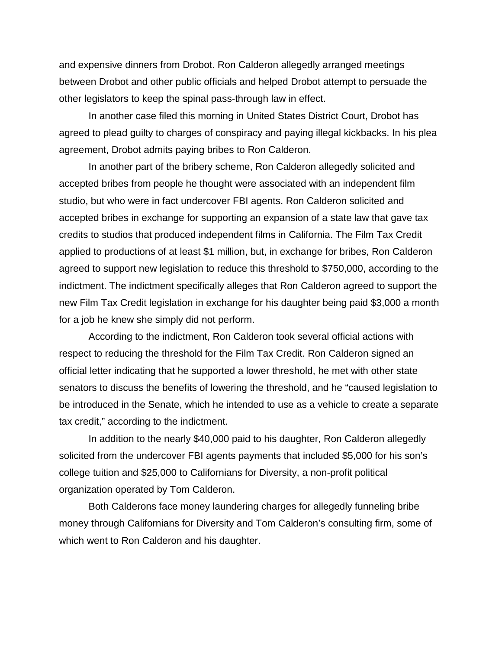and expensive dinners from Drobot. Ron Calderon allegedly arranged meetings between Drobot and other public officials and helped Drobot attempt to persuade the other legislators to keep the spinal pass-through law in effect.

In another case filed this morning in United States District Court, Drobot has agreed to plead guilty to charges of conspiracy and paying illegal kickbacks. In his plea agreement, Drobot admits paying bribes to Ron Calderon.

In another part of the bribery scheme, Ron Calderon allegedly solicited and accepted bribes from people he thought were associated with an independent film studio, but who were in fact undercover FBI agents. Ron Calderon solicited and accepted bribes in exchange for supporting an expansion of a state law that gave tax credits to studios that produced independent films in California. The Film Tax Credit applied to productions of at least \$1 million, but, in exchange for bribes, Ron Calderon agreed to support new legislation to reduce this threshold to \$750,000, according to the indictment. The indictment specifically alleges that Ron Calderon agreed to support the new Film Tax Credit legislation in exchange for his daughter being paid \$3,000 a month for a job he knew she simply did not perform.

According to the indictment, Ron Calderon took several official actions with respect to reducing the threshold for the Film Tax Credit. Ron Calderon signed an official letter indicating that he supported a lower threshold, he met with other state senators to discuss the benefits of lowering the threshold, and he "caused legislation to be introduced in the Senate, which he intended to use as a vehicle to create a separate tax credit," according to the indictment.

In addition to the nearly \$40,000 paid to his daughter, Ron Calderon allegedly solicited from the undercover FBI agents payments that included \$5,000 for his son's college tuition and \$25,000 to Californians for Diversity, a non-profit political organization operated by Tom Calderon.

Both Calderons face money laundering charges for allegedly funneling bribe money through Californians for Diversity and Tom Calderon's consulting firm, some of which went to Ron Calderon and his daughter.